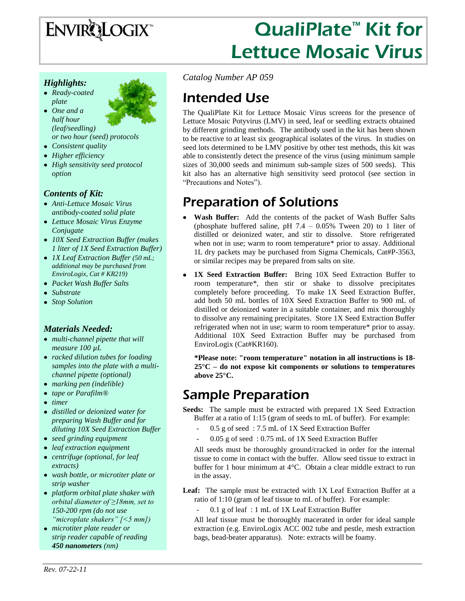# ENVIRQLOGIX<sup>\*</sup>

# QualiPlate<sup>™</sup> Kit for Lettuce Mosaic Virus

### *Highlights:*

- *Ready-coated plate*
- *One and a half hour (leaf/seedling) or two hour (seed) protocols*
- *Consistent quality*
- *Higher efficiency*
- *High sensitivity seed protocol option*

### *Contents of Kit:*

- *Anti-Lettuce Mosaic Virus antibody-coated solid plate*
- *Lettuce Mosaic Virus Enzyme Conjugate*
- *10X Seed Extraction Buffer (makes 1 liter of 1X Seed Extraction Buffer)*
- *1X Leaf Extraction Buffer (50 mL; additional may be purchased from EnviroLogix, Cat # KR219)*
- *Packet Wash Buffer Salts*
- *Substrate*
- *Stop Solution*

### *Materials Needed:*

- *multi-channel pipette that will measure 100 µL*
- *racked dilution tubes for loading samples into the plate with a multichannel pipette (optional)*
- *marking pen (indelible)*
- *tape or Parafilm®*
- *timer*
- *distilled or deionized water for preparing Wash Buffer and for diluting 10X Seed Extraction Buffer*
- *seed grinding equipment*
- *leaf extraction equipment*
- *centrifuge (optional, for leaf extracts)*
- *wash bottle, or microtiter plate or strip washer*
- *platform orbital plate shaker with orbital diameter of ≥18mm, set to 150-200 rpm (do not use "microplate shakers" [<5 mm])*
- *microtiter plate reader or strip reader capable of reading 450 nanometers (nm)*

*Catalog Number AP 059*

# Intended Use

The QualiPlate Kit for Lettuce Mosaic Virus screens for the presence of Lettuce Mosaic Potyvirus (LMV) in seed, leaf or seedling extracts obtained by different grinding methods. The antibody used in the kit has been shown to be reactive to at least six geographical isolates of the virus. In studies on seed lots determined to be LMV positive by other test methods, this kit was able to consistently detect the presence of the virus (using minimum sample sizes of 30,000 seeds and minimum sub-sample sizes of 500 seeds). This kit also has an alternative high sensitivity seed protocol (see section in "Precautions and Notes").

# Preparation of Solutions

- **Wash Buffer:** Add the contents of the packet of Wash Buffer Salts (phosphate buffered saline, pH  $7.4 - 0.05\%$  Tween 20) to 1 liter of distilled or deionized water, and stir to dissolve. Store refrigerated when not in use; warm to room temperature\* prior to assay. Additional 1L dry packets may be purchased from Sigma Chemicals, Cat#P-3563, or similar recipes may be prepared from salts on site.
- **1X Seed Extraction Buffer:** Bring 10X Seed Extraction Buffer to room temperature\*, then stir or shake to dissolve precipitates completely before proceeding. To make 1X Seed Extraction Buffer, add both 50 mL bottles of 10X Seed Extraction Buffer to 900 mL of distilled or deionized water in a suitable container, and mix thoroughly to dissolve any remaining precipitates. Store 1X Seed Extraction Buffer refrigerated when not in use; warm to room temperature\* prior to assay. Additional 10X Seed Extraction Buffer may be purchased from EnviroLogix (Cat#KR160).

**\*Please note: "room temperature" notation in all instructions is 18- 25°C – do not expose kit components or solutions to temperatures above 25°C.**

# Sample Preparation

**Seeds:** The sample must be extracted with prepared 1X Seed Extraction Buffer at a ratio of 1:15 (gram of seeds to mL of buffer). For example:

- 0.5 g of seed : 7.5 mL of 1X Seed Extraction Buffer
- 0.05 g of seed : 0.75 mL of 1X Seed Extraction Buffer

All seeds must be thoroughly ground/cracked in order for the internal tissue to come in contact with the buffer. Allow seed tissue to extract in buffer for 1 hour minimum at 4°C. Obtain a clear middle extract to run in the assay.

Leaf: The sample must be extracted with 1X Leaf Extraction Buffer at a ratio of 1:10 (gram of leaf tissue to mL of buffer). For example:

0.1 g of leaf : 1 mL of 1X Leaf Extraction Buffer

All leaf tissue must be thoroughly macerated in order for ideal sample extraction (e.g. EnviroLogix ACC 002 tube and pestle, mesh extraction bags, bead-beater apparatus). Note: extracts will be foamy.

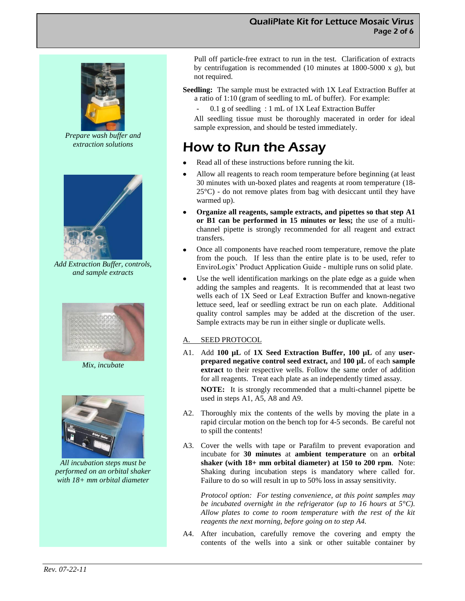

*Prepare wash buffer and extraction solutions*



*Add Extraction Buffer, controls, and sample extracts*



*Mix, incubate*



*All incubation steps must be performed on an orbital shaker with 18+ mm orbital diameter*

Pull off particle-free extract to run in the test. Clarification of extracts by centrifugation is recommended (10 minutes at 1800-5000 x *g*), but not required.

**Seedling:** The sample must be extracted with 1X Leaf Extraction Buffer at a ratio of 1:10 (gram of seedling to mL of buffer). For example:

 $0.1$  g of seedling : 1 mL of 1X Leaf Extraction Buffer

All seedling tissue must be thoroughly macerated in order for ideal sample expression, and should be tested immediately.

# How to Run the Assay

- Read all of these instructions before running the kit.
- Allow all reagents to reach room temperature before beginning (at least 30 minutes with un-boxed plates and reagents at room temperature (18-  $25^{\circ}$ C) - do not remove plates from bag with desiccant until they have warmed up).
- **Organize all reagents, sample extracts, and pipettes so that step A1**   $\bullet$ **or B1 can be performed in 15 minutes or less;** the use of a multichannel pipette is strongly recommended for all reagent and extract transfers.
- Once all components have reached room temperature, remove the plate from the pouch. If less than the entire plate is to be used, refer to EnviroLogix' Product Application Guide - multiple runs on solid plate.
- Use the well identification markings on the plate edge as a guide when adding the samples and reagents. It is recommended that at least two wells each of 1X Seed or Leaf Extraction Buffer and known-negative lettuce seed, leaf or seedling extract be run on each plate. Additional quality control samples may be added at the discretion of the user. Sample extracts may be run in either single or duplicate wells.

#### A. SEED PROTOCOL

A1. Add **100 µL** of **1X Seed Extraction Buffer, 100 µL** of any **userprepared negative control seed extract,** and **100 µL** of each **sample extract** to their respective wells. Follow the same order of addition for all reagents. Treat each plate as an independently timed assay.

**NOTE:** It is strongly recommended that a multi-channel pipette be used in steps A1, A5, A8 and A9.

- A2. Thoroughly mix the contents of the wells by moving the plate in a rapid circular motion on the bench top for 4-5 seconds. Be careful not to spill the contents!
- A3. Cover the wells with tape or Parafilm to prevent evaporation and incubate for **30 minutes** at **ambient temperature** on an **orbital shaker (with 18+ mm orbital diameter) at 150 to 200 rpm**. Note: Shaking during incubation steps is mandatory where called for. Failure to do so will result in up to 50% loss in assay sensitivity.

*Protocol option: For testing convenience, at this point samples may be incubated overnight in the refrigerator (up to 16 hours at 5°C). Allow plates to come to room temperature with the rest of the kit reagents the next morning, before going on to step A4.*

A4. After incubation, carefully remove the covering and empty the contents of the wells into a sink or other suitable container by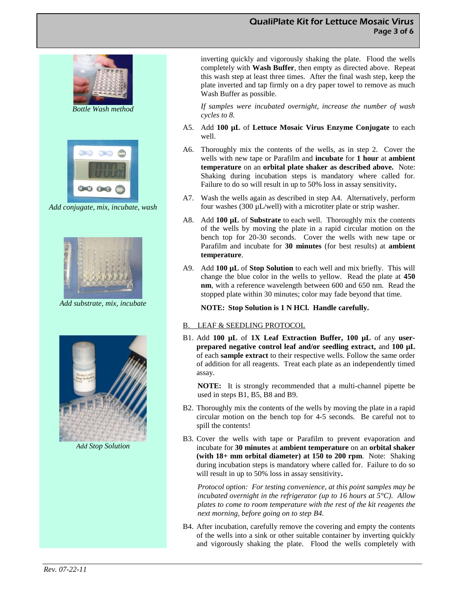#### QualiPlate Kit for Lettuce Mosaic Virus Page 3 of 6



*Add conjugate, mix, incubate, wash*



*Add substrate, mix, incubate*



*Add Stop Solution*

inverting quickly and vigorously shaking the plate. Flood the wells completely with **Wash Buffer**, then empty as directed above. Repeat this wash step at least three times. After the final wash step, keep the plate inverted and tap firmly on a dry paper towel to remove as much Wash Buffer as possible.

*If samples were incubated overnight, increase the number of wash cycles to 8.*

- A5. Add **100 µL** of **Lettuce Mosaic Virus Enzyme Conjugate** to each well.
- A6. Thoroughly mix the contents of the wells, as in step 2. Cover the wells with new tape or Parafilm and **incubate** for **1 hour** at **ambient temperature** on an **orbital plate shaker as described above.** Note: Shaking during incubation steps is mandatory where called for. Failure to do so will result in up to 50% loss in assay sensitivity**.**
- A7. Wash the wells again as described in step A4. Alternatively, perform four washes  $(300 \mu L/well)$  with a microtiter plate or strip washer.
- A8. Add **100 µL** of **Substrate** to each well. Thoroughly mix the contents of the wells by moving the plate in a rapid circular motion on the bench top for 20-30 seconds. Cover the wells with new tape or Parafilm and incubate for **30 minutes** (for best results) at **ambient temperature**.
- A9. Add **100 µL** of **Stop Solution** to each well and mix briefly. This will change the blue color in the wells to yellow. Read the plate at **450 nm**, with a reference wavelength between 600 and 650 nm. Read the stopped plate within 30 minutes; color may fade beyond that time.

#### **NOTE: Stop Solution is 1 N HCl. Handle carefully.**

#### B. LEAF & SEEDLING PROTOCOL

B1. Add **100 µL** of **1X Leaf Extraction Buffer, 100 µL** of any **userprepared negative control leaf and/or seedling extract,** and **100 µL** of each **sample extract** to their respective wells. Follow the same order of addition for all reagents. Treat each plate as an independently timed assay.

**NOTE:** It is strongly recommended that a multi-channel pipette be used in steps B1, B5, B8 and B9.

- B2. Thoroughly mix the contents of the wells by moving the plate in a rapid circular motion on the bench top for 4-5 seconds. Be careful not to spill the contents!
- B3. Cover the wells with tape or Parafilm to prevent evaporation and incubate for **30 minutes** at **ambient temperature** on an **orbital shaker (with 18+ mm orbital diameter) at 150 to 200 rpm**. Note: Shaking during incubation steps is mandatory where called for. Failure to do so will result in up to 50% loss in assay sensitivity**.**

*Protocol option: For testing convenience, at this point samples may be incubated overnight in the refrigerator (up to 16 hours at 5°C). Allow plates to come to room temperature with the rest of the kit reagents the next morning, before going on to step B4.*

B4. After incubation, carefully remove the covering and empty the contents of the wells into a sink or other suitable container by inverting quickly and vigorously shaking the plate. Flood the wells completely with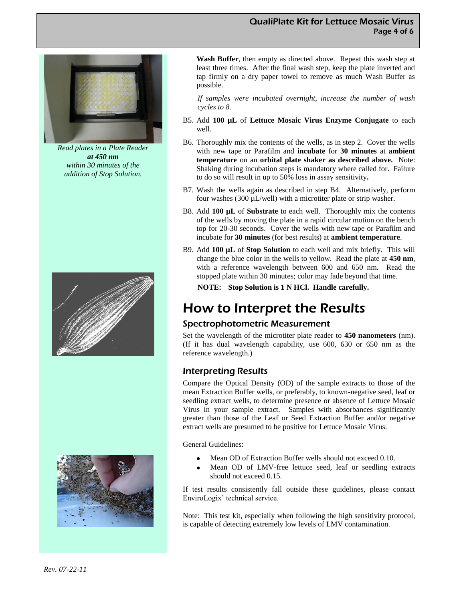#### QualiPlate Kit for Lettuce Mosaic Virus Page 4 of 6



*Read plates in a Plate Reader at 450 nm within 30 minutes of the addition of Stop Solution.*





**Wash Buffer**, then empty as directed above. Repeat this wash step at least three times. After the final wash step, keep the plate inverted and tap firmly on a dry paper towel to remove as much Wash Buffer as possible.

*If samples were incubated overnight, increase the number of wash cycles to 8.*

- B5. Add **100 µL** of **Lettuce Mosaic Virus Enzyme Conjugate** to each well.
- B6. Thoroughly mix the contents of the wells, as in step 2. Cover the wells with new tape or Parafilm and **incubate** for **30 minutes** at **ambient temperature** on an **orbital plate shaker as described above.** Note: Shaking during incubation steps is mandatory where called for. Failure to do so will result in up to 50% loss in assay sensitivity**.**
- B7. Wash the wells again as described in step B4. Alternatively, perform four washes  $(300 \mu L/well)$  with a microtiter plate or strip washer.
- B8. Add **100 µL** of **Substrate** to each well. Thoroughly mix the contents of the wells by moving the plate in a rapid circular motion on the bench top for 20-30 seconds. Cover the wells with new tape or Parafilm and incubate for **30 minutes** (for best results) at **ambient temperature**.
- B9. Add **100 µL** of **Stop Solution** to each well and mix briefly. This will change the blue color in the wells to yellow. Read the plate at **450 nm**, with a reference wavelength between 600 and 650 nm. Read the stopped plate within 30 minutes; color may fade beyond that time.
	- **NOTE: Stop Solution is 1 N HCl. Handle carefully.**

# How to Interpret the Results

### Spectrophotometric Measurement

Set the wavelength of the microtiter plate reader to **450 nanometers** (nm). (If it has dual wavelength capability, use 600, 630 or 650 nm as the reference wavelength.)

### Interpreting Results

Compare the Optical Density (OD) of the sample extracts to those of the mean Extraction Buffer wells, or preferably, to known-negative seed, leaf or seedling extract wells, to determine presence or absence of Lettuce Mosaic Virus in your sample extract. Samples with absorbances significantly greater than those of the Leaf or Seed Extraction Buffer and/or negative extract wells are presumed to be positive for Lettuce Mosaic Virus.

General Guidelines:

- Mean OD of Extraction Buffer wells should not exceed 0.10.
- Mean OD of LMV-free lettuce seed, leaf or seedling extracts should not exceed 0.15.

If test results consistently fall outside these guidelines, please contact EnviroLogix' technical service.

Note: This test kit, especially when following the high sensitivity protocol, is capable of detecting extremely low levels of LMV contamination.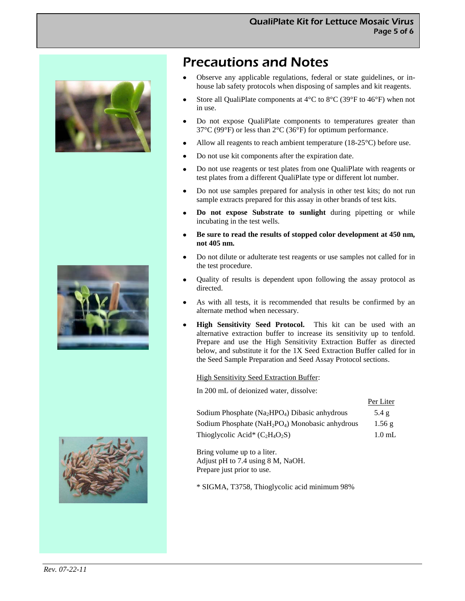





# Precautions and Notes

- Observe any applicable regulations, federal or state guidelines, or inhouse lab safety protocols when disposing of samples and kit reagents.
- Store all QualiPlate components at 4°C to 8°C (39°F to 46°F) when not  $\bullet$ in use.
- Do not expose QualiPlate components to temperatures greater than 37°C (99°F) or less than 2°C (36°F) for optimum performance.
- Allow all reagents to reach ambient temperature (18-25°C) before use.
- Do not use kit components after the expiration date.  $\bullet$
- Do not use reagents or test plates from one QualiPlate with reagents or  $\bullet$ test plates from a different QualiPlate type or different lot number.
- $\bullet$ Do not use samples prepared for analysis in other test kits; do not run sample extracts prepared for this assay in other brands of test kits.
- $\bullet$ **Do not expose Substrate to sunlight** during pipetting or while incubating in the test wells.
- **Be sure to read the results of stopped color development at 450 nm,**   $\bullet$ **not 405 nm.**
- Do not dilute or adulterate test reagents or use samples not called for in  $\bullet$ the test procedure.
- Quality of results is dependent upon following the assay protocol as  $\bullet$ directed.
- As with all tests, it is recommended that results be confirmed by an alternate method when necessary.
- $\bullet$ **High Sensitivity Seed Protocol.** This kit can be used with an alternative extraction buffer to increase its sensitivity up to tenfold. Prepare and use the High Sensitivity Extraction Buffer as directed below, and substitute it for the 1X Seed Extraction Buffer called for in the Seed Sample Preparation and Seed Assay Protocol sections.

#### High Sensitivity Seed Extraction Buffer:

In 200 mL of deionized water, dissolve:

|                                                                        | Per Liter         |
|------------------------------------------------------------------------|-------------------|
| Sodium Phosphate (Na <sub>2</sub> HPO <sub>4</sub> ) Dibasic anhydrous | $5.4\ \mathrm{g}$ |
| Sodium Phosphate ( $NaH_2PO_4$ ) Monobasic anhydrous                   | 1.56g             |
| Thioglycolic Acid* $(C_2H_4O_2S)$                                      | $1.0 \text{ mL}$  |

Per Liter

Bring volume up to a liter. Adjust pH to 7.4 using 8 M, NaOH. Prepare just prior to use.

\* SIGMA, T3758, Thioglycolic acid minimum 98%